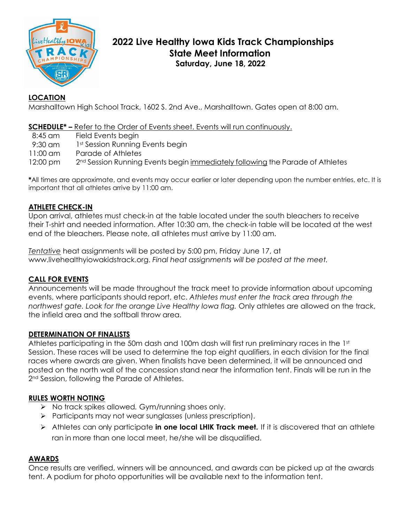

# **2022 Live Healthy Iowa Kids Track Championships State Meet Information Saturday, June 18, 2022**

# **LOCATION**

Marshalltown High School Track, 1602 S. 2nd Ave., Marshalltown. Gates open at 8:00 am.

### **SCHEDULE\* –** Refer to the Order of Events sheet. Events will run continuously.

| 8:45 am            | Field Events begin                                                                        |
|--------------------|-------------------------------------------------------------------------------------------|
| 9:30 am            | 1 <sup>st</sup> Session Running Events begin                                              |
| $11:00 \text{ cm}$ | Parade of Athletes                                                                        |
| $12:00 \text{ pm}$ | 2 <sup>nd</sup> Session Running Events begin immediately following the Parade of Athletes |

**\***All times are approximate, and events may occur earlier or later depending upon the number entries, etc. It is important that all athletes arrive by 11:00 am.

# **ATHLETE CHECK-IN**

Upon arrival, athletes must check-in at the table located under the south bleachers to receive their T-shirt and needed information. After 10:30 am, the check-in table will be located at the west end of the bleachers. Please note, all athletes must arrive by 11:00 am.

*Tentative* heat assignments will be posted by 5:00 pm, Friday June 17, at www.livehealthyiowakidstrack.org. *Final heat assignments will be posted at the meet.*

#### **CALL FOR EVENTS**

Announcements will be made throughout the track meet to provide information about upcoming events, where participants should report, etc. *Athletes must enter the track area through the northwest gate. Look for the orange Live Healthy Iowa flag.* Only athletes are allowed on the track, the infield area and the softball throw area.

#### **DETERMINATION OF FINALISTS**

Athletes participating in the 50m dash and 100m dash will first run preliminary races in the 1st Session. These races will be used to determine the top eight qualifiers, in each division for the final races where awards are given. When finalists have been determined, it will be announced and posted on the north wall of the concession stand near the information tent. Finals will be run in the 2<sup>nd</sup> Session, following the Parade of Athletes.

#### **RULES WORTH NOTING**

- ➢ No track spikes allowed*.* Gym/running shoes only.
- ➢ Participants may not wear sunglasses (unless prescription).
- ➢ Athletes can only participate **in one local LHIK Track meet.** If it is discovered that an athlete ran in more than one local meet, he/she will be disqualified.

#### **AWARDS**

Once results are verified, winners will be announced, and awards can be picked up at the awards tent. A podium for photo opportunities will be available next to the information tent.